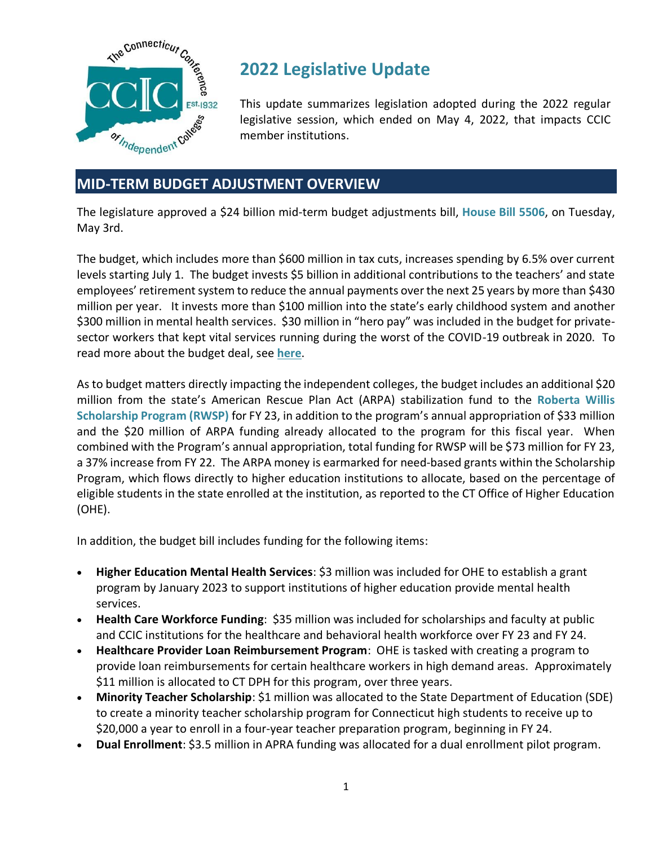

# **2022 Legislative Update**

This update summarizes legislation adopted during the 2022 regular legislative session, which ended on May 4, 2022, that impacts CCIC member institutions.

# **MID-TERM BUDGET ADJUSTMENT OVERVIEW**

The legislature approved a \$24 billion mid-term budget adjustments bill, **House Bill 5506**, on Tuesday, May 3rd.

The budget, which includes more than \$600 million in tax cuts, increases spending by 6.5% over current levels starting July 1. The budget invests \$5 billion in additional contributions to the teachers' and state employees' retirement system to reduce the annual payments over the next 25 years by more than \$430 million per year. It invests more than \$100 million into the state's early childhood system and another \$300 million in mental health services. \$30 million in "hero pay" was included in the budget for privatesector workers that kept vital services running during the worst of the COVID-19 outbreak in 2020. To read more about the budget deal, see **[here](https://portal.ct.gov/Office-of-the-Governor/News/Press-Releases/2022/05-2022/Governor-Lamont-Signs-Budget-That-Includes-the-Largest-Tax-Cut-in-Connecticut-History)**.

As to budget matters directly impacting the independent colleges, the budget includes an additional \$20 million from the state's American Rescue Plan Act (ARPA) stabilization fund to the **Roberta Willis Scholarship Program (RWSP)** for FY 23, in addition to the program's annual appropriation of \$33 million and the \$20 million of ARPA funding already allocated to the program for this fiscal year. When combined with the Program's annual appropriation, total funding for RWSP will be \$73 million for FY 23, a 37% increase from FY 22. The ARPA money is earmarked for need-based grants within the Scholarship Program, which flows directly to higher education institutions to allocate, based on the percentage of eligible students in the state enrolled at the institution, as reported to the CT Office of Higher Education (OHE).

In addition, the budget bill includes funding for the following items:

- **Higher Education Mental Health Services**: \$3 million was included for OHE to establish a grant program by January 2023 to support institutions of higher education provide mental health services.
- **Health Care Workforce Funding**: \$35 million was included for scholarships and faculty at public and CCIC institutions for the healthcare and behavioral health workforce over FY 23 and FY 24.
- **Healthcare Provider Loan Reimbursement Program**: OHE is tasked with creating a program to provide loan reimbursements for certain healthcare workers in high demand areas. Approximately \$11 million is allocated to CT DPH for this program, over three years.
- **Minority Teacher Scholarship**: \$1 million was allocated to the State Department of Education (SDE) to create a minority teacher scholarship program for Connecticut high students to receive up to \$20,000 a year to enroll in a four-year teacher preparation program, beginning in FY 24.
- **Dual Enrollment**: \$3.5 million in APRA funding was allocated for a dual enrollment pilot program.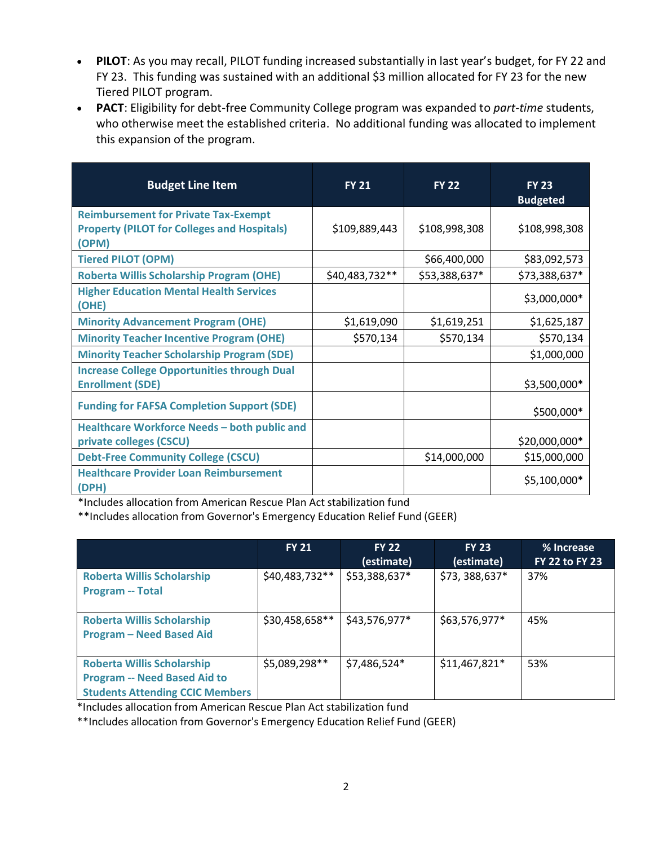- **PILOT**: As you may recall, PILOT funding increased substantially in last year's budget, for FY 22 and FY 23. This funding was sustained with an additional \$3 million allocated for FY 23 for the new Tiered PILOT program.
- **PACT**: Eligibility for debt-free Community College program was expanded to *part-time* students, who otherwise meet the established criteria. No additional funding was allocated to implement this expansion of the program.

| <b>Budget Line Item</b>                                                                                    | <b>FY 21</b>   | <b>FY 22</b>  | <b>FY 23</b><br><b>Budgeted</b> |
|------------------------------------------------------------------------------------------------------------|----------------|---------------|---------------------------------|
| <b>Reimbursement for Private Tax-Exempt</b><br><b>Property (PILOT for Colleges and Hospitals)</b><br>(OPM) | \$109,889,443  | \$108,998,308 | \$108,998,308                   |
| <b>Tiered PILOT (OPM)</b>                                                                                  |                | \$66,400,000  | \$83,092,573                    |
| <b>Roberta Willis Scholarship Program (OHE)</b>                                                            | \$40,483,732** | \$53,388,637* | \$73,388,637*                   |
| <b>Higher Education Mental Health Services</b><br>(OHE)                                                    |                |               | \$3,000,000*                    |
| <b>Minority Advancement Program (OHE)</b>                                                                  | \$1,619,090    | \$1,619,251   | \$1,625,187                     |
| <b>Minority Teacher Incentive Program (OHE)</b>                                                            | \$570,134      | \$570,134     | \$570,134                       |
| <b>Minority Teacher Scholarship Program (SDE)</b>                                                          |                |               | \$1,000,000                     |
| <b>Increase College Opportunities through Dual</b><br><b>Enrollment (SDE)</b>                              |                |               | \$3,500,000*                    |
| <b>Funding for FAFSA Completion Support (SDE)</b>                                                          |                |               | \$500,000*                      |
| Healthcare Workforce Needs - both public and<br>private colleges (CSCU)                                    |                |               | \$20,000,000*                   |
| <b>Debt-Free Community College (CSCU)</b>                                                                  |                | \$14,000,000  | \$15,000,000                    |
| <b>Healthcare Provider Loan Reimbursement</b><br>(DPH)                                                     |                |               | \$5,100,000*                    |

\*Includes allocation from American Rescue Plan Act stabilization fund

\*\*Includes allocation from Governor's Emergency Education Relief Fund (GEER)

|                                                                                                                    | <b>FY 21</b>   | <b>FY 22</b><br>(estimate) | <b>FY 23</b><br>(estimate) | % Increase<br><b>FY 22 to FY 23</b> |
|--------------------------------------------------------------------------------------------------------------------|----------------|----------------------------|----------------------------|-------------------------------------|
| <b>Roberta Willis Scholarship</b><br><b>Program -- Total</b>                                                       | \$40,483,732** | \$53,388,637*              | \$73,388,637*              | 37%                                 |
| <b>Roberta Willis Scholarship</b><br><b>Program - Need Based Aid</b>                                               | \$30,458,658** | \$43,576,977*              | \$63,576,977*              | 45%                                 |
| <b>Roberta Willis Scholarship</b><br><b>Program -- Need Based Aid to</b><br><b>Students Attending CCIC Members</b> | \$5,089,298**  | \$7,486,524*               | \$11,467,821*              | 53%                                 |

\*Includes allocation from American Rescue Plan Act stabilization fund

\*\*Includes allocation from Governor's Emergency Education Relief Fund (GEER)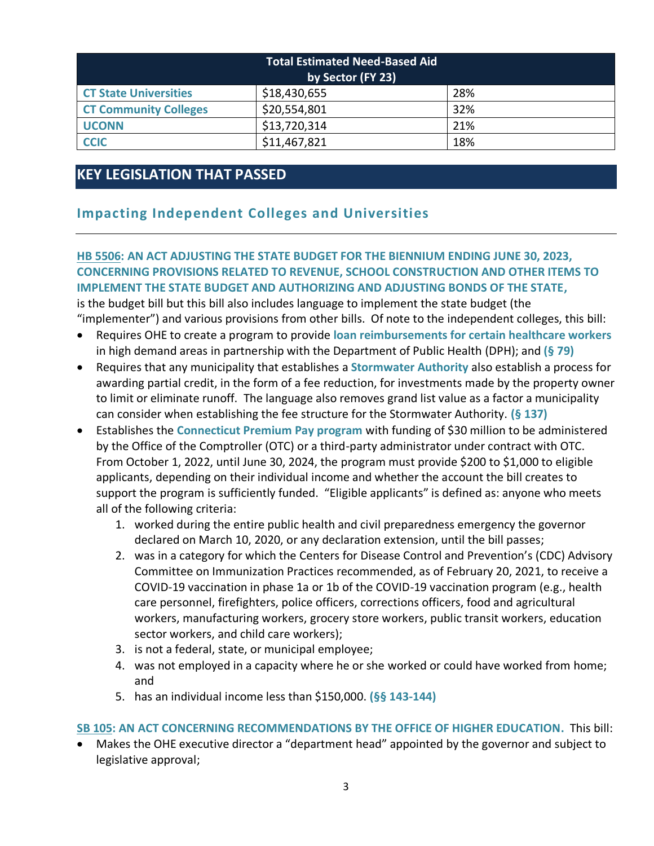| <b>Total Estimated Need-Based Aid</b><br>by Sector (FY 23) |              |     |  |  |
|------------------------------------------------------------|--------------|-----|--|--|
| <b>CT State Universities</b>                               | \$18,430,655 | 28% |  |  |
| <b>CT Community Colleges</b>                               | \$20,554,801 | 32% |  |  |
| <b>UCONN</b>                                               | \$13,720,314 | 21% |  |  |
| <b>CCIC</b>                                                | \$11,467,821 | 18% |  |  |

# **KEY LEGISLATION THAT PASSED**

# **Impacting Independent Colleges and Universities**

## **[HB 5506: AN ACT ADJUSTING THE STATE BUDGET FOR THE BIENNIUM ENDING JUNE 30, 2023,](https://www.cga.ct.gov/asp/cgabillstatus/cgabillstatus.asp?selBillType=Bill&which_year=2022&bill_num=5506)  [CONCERNING PROVISIONS RELATED TO REVENUE, SCHOOL CONSTRUCTION AND OTHER ITEMS TO](https://www.cga.ct.gov/asp/cgabillstatus/cgabillstatus.asp?selBillType=Bill&which_year=2022&bill_num=5506)  [IMPLEMENT THE STATE BUDGET AND AUTHORIZING AND ADJUSTING BONDS OF THE STATE,](https://www.cga.ct.gov/asp/cgabillstatus/cgabillstatus.asp?selBillType=Bill&which_year=2022&bill_num=5506)**

is the budget bill but this bill also includes language to implement the state budget (the "implementer") and various provisions from other bills. Of note to the independent colleges, this bill:

- Requires OHE to create a program to provide **loan reimbursements for certain healthcare workers** in high demand areas in partnership with the Department of Public Health (DPH); and **(§ 79)**
- Requires that any municipality that establishes a **Stormwater Authority** also establish a process for awarding partial credit, in the form of a fee reduction, for investments made by the property owner to limit or eliminate runoff. The language also removes grand list value as a factor a municipality can consider when establishing the fee structure for the Stormwater Authority. **(§ 137)**
- Establishes the **Connecticut Premium Pay program** with funding of \$30 million to be administered by the Office of the Comptroller (OTC) or a third-party administrator under contract with OTC. From October 1, 2022, until June 30, 2024, the program must provide \$200 to \$1,000 to eligible applicants, depending on their individual income and whether the account the bill creates to support the program is sufficiently funded. "Eligible applicants" is defined as: anyone who meets all of the following criteria:
	- 1. worked during the entire public health and civil preparedness emergency the governor declared on March 10, 2020, or any declaration extension, until the bill passes;
	- 2. was in a category for which the Centers for Disease Control and Prevention's (CDC) Advisory Committee on Immunization Practices recommended, as of February 20, 2021, to receive a COVID-19 vaccination in phase 1a or 1b of the COVID-19 vaccination program (e.g., health care personnel, firefighters, police officers, corrections officers, food and agricultural workers, manufacturing workers, grocery store workers, public transit workers, education sector workers, and child care workers);
	- 3. is not a federal, state, or municipal employee;
	- 4. was not employed in a capacity where he or she worked or could have worked from home; and
	- 5. has an individual income less than \$150,000. **(§§ 143-144)**

### **[SB 105: AN ACT CONCERNING RECOMMENDATIONS BY THE OFFICE OF HIGHER EDUCATION.](https://www.cga.ct.gov/asp/cgabillstatus/cgabillstatus.asp?selBillType=Bill&which_year=2022&bill_num=105)** This bill:

• Makes the OHE executive director a "department head" appointed by the governor and subject to legislative approval;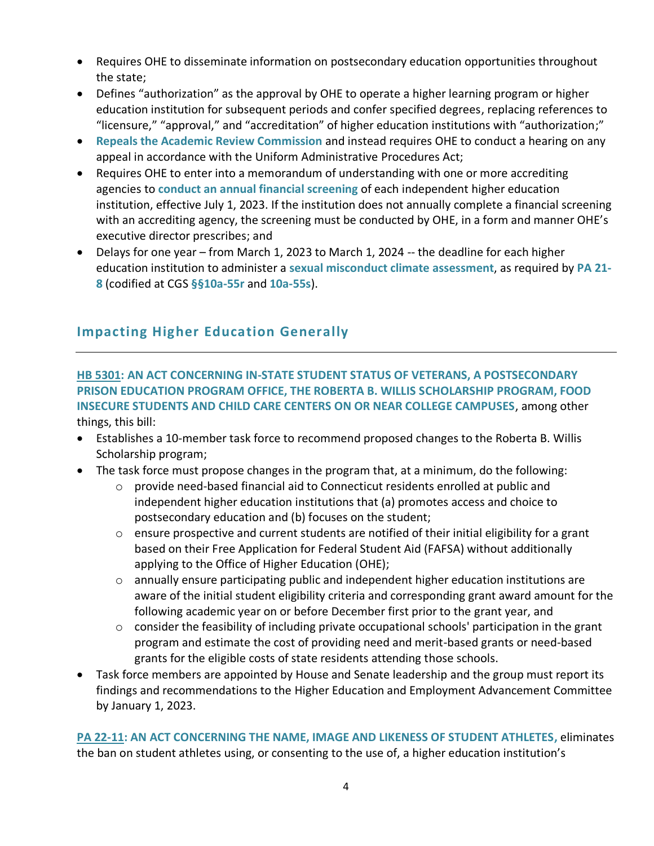- Requires OHE to disseminate information on postsecondary education opportunities throughout the state;
- Defines "authorization" as the approval by OHE to operate a higher learning program or higher education institution for subsequent periods and confer specified degrees, replacing references to "licensure," "approval," and "accreditation" of higher education institutions with "authorization;"
- **Repeals the Academic Review Commission** and instead requires OHE to conduct a hearing on any appeal in accordance with the Uniform Administrative Procedures Act;
- Requires OHE to enter into a memorandum of understanding with one or more accrediting agencies to **conduct an annual financial screening** of each independent higher education institution, effective July 1, 2023. If the institution does not annually complete a financial screening with an accrediting agency, the screening must be conducted by OHE, in a form and manner OHE's executive director prescribes; and
- Delays for one year from March 1, 2023 to March 1, 2024 -- the deadline for each higher education institution to administer a **sexual misconduct climate assessment**, as required by **[PA 21-](https://www.cga.ct.gov/2021/ACT/PA/PDF/2021PA-00081-R00HB-06374-PA.PDF) [8](https://www.cga.ct.gov/2021/ACT/PA/PDF/2021PA-00081-R00HB-06374-PA.PDF)** (codified at CGS **§[§10a-55r](https://www.cga.ct.gov/2022/sup/chap_185.htm#sec_10a-55r)** and **[10a-55s](https://www.cga.ct.gov/2022/sup/chap_185.htm#sec_10a-55s)**).

# **Impacting Higher Education Generally**

**[HB 5301:](https://www.cga.ct.gov/asp/cgabillstatus/cgabillstatus.asp?selBillType=Bill&which_year=2022&bill_num=5301) AN ACT CONCERNING IN-STATE STUDENT STATUS OF VETERANS, A POSTSECONDARY PRISON EDUCATION PROGRAM OFFICE, THE ROBERTA B. WILLIS SCHOLARSHIP PROGRAM, FOOD INSECURE STUDENTS AND CHILD CARE CENTERS ON OR NEAR COLLEGE CAMPUSES**, among other things, this bill:

- Establishes a 10-member task force to recommend proposed changes to the Roberta B. Willis Scholarship program;
- The task force must propose changes in the program that, at a minimum, do the following:
	- $\circ$  provide need-based financial aid to Connecticut residents enrolled at public and independent higher education institutions that (a) promotes access and choice to postsecondary education and (b) focuses on the student;
	- $\circ$  ensure prospective and current students are notified of their initial eligibility for a grant based on their Free Application for Federal Student Aid (FAFSA) without additionally applying to the Office of Higher Education (OHE);
	- o annually ensure participating public and independent higher education institutions are aware of the initial student eligibility criteria and corresponding grant award amount for the following academic year on or before December first prior to the grant year, and
	- $\circ$  consider the feasibility of including private occupational schools' participation in the grant program and estimate the cost of providing need and merit-based grants or need-based grants for the eligible costs of state residents attending those schools.
- Task force members are appointed by House and Senate leadership and the group must report its findings and recommendations to the Higher Education and Employment Advancement Committee by January 1, 2023.

**[PA 22-11: AN ACT CONCERNING THE NAME, IMAGE AND LIKENESS OF STUDENT ATHLETES,](https://www.cga.ct.gov/2022/ACT/PA/PDF/2022PA-00011-R00SB-00020-PA.PDF)** eliminates the ban on student athletes using, or consenting to the use of, a higher education institution's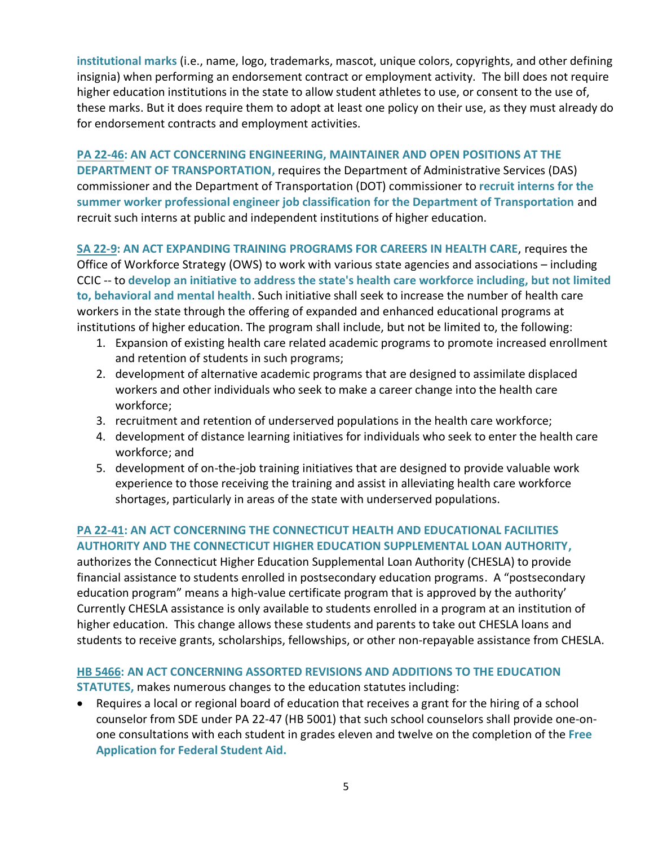**institutional marks** (i.e., name, logo, trademarks, mascot, unique colors, copyrights, and other defining insignia) when performing an endorsement contract or employment activity. The bill does not require higher education institutions in the state to allow student athletes to use, or consent to the use of, these marks. But it does require them to adopt at least one policy on their use, as they must already do for endorsement contracts and employment activities.

**[PA 22-46: AN ACT CONCERNING ENGINEERING, MAINTAINER AND OPEN POSITIONS AT THE](https://www.cga.ct.gov/2022/ACT/PA/PDF/2022PA-00046-R00SB-00215-PA.PDF)  [DEPARTMENT OF TRANSPORTATION,](https://www.cga.ct.gov/2022/ACT/PA/PDF/2022PA-00046-R00SB-00215-PA.PDF)** requires the Department of Administrative Services (DAS) commissioner and the Department of Transportation (DOT) commissioner to **recruit interns for the summer worker professional engineer job classification for the Department of Transportation** and recruit such interns at public and independent institutions of higher education.

**[SA 22-9:](https://www.cga.ct.gov/2022/ACT/SA/PDF/2022SA-00009-R00SB-00251-SA.PDF) AN ACT EXPANDING TRAINING PROGRAMS FOR CAREERS IN HEALTH CARE**, requires the Office of Workforce Strategy (OWS) to work with various state agencies and associations – including CCIC -- to **develop an initiative to address the state's health care workforce including, but not limited to, behavioral and mental health**. Such initiative shall seek to increase the number of health care workers in the state through the offering of expanded and enhanced educational programs at institutions of higher education. The program shall include, but not be limited to, the following:

- 1. Expansion of existing health care related academic programs to promote increased enrollment and retention of students in such programs;
- 2. development of alternative academic programs that are designed to assimilate displaced workers and other individuals who seek to make a career change into the health care workforce;
- 3. recruitment and retention of underserved populations in the health care workforce;
- 4. development of distance learning initiatives for individuals who seek to enter the health care workforce; and
- 5. development of on-the-job training initiatives that are designed to provide valuable work experience to those receiving the training and assist in alleviating health care workforce shortages, particularly in areas of the state with underserved populations.

### **[PA 22-41: AN ACT CONCERNING THE CONNECTICUT HEALTH AND EDUCATIONAL FACILITIES](https://www.cga.ct.gov/2022/ACT/PA/PDF/2022PA-00041-R00SB-00103-PA.PDF)  [AUTHORITY AND THE CONNECTICUT HIGHER EDUCATION SUPPLEMENTAL LOAN AUTHORITY,](https://www.cga.ct.gov/2022/ACT/PA/PDF/2022PA-00041-R00SB-00103-PA.PDF)**

authorizes the Connecticut Higher Education Supplemental Loan Authority (CHESLA) to provide financial assistance to students enrolled in postsecondary education programs. A "postsecondary education program" means a high-value certificate program that is approved by the authority' Currently CHESLA assistance is only available to students enrolled in a program at an institution of higher education. This change allows these students and parents to take out CHESLA loans and students to receive grants, scholarships, fellowships, or other non-repayable assistance from CHESLA.

### **HB [5466:](https://www.cga.ct.gov/asp/cgabillstatus/cgabillstatus.asp?selBillType=Bill&bill_num=HB05466&which_year=2022) AN ACT CONCERNING ASSORTED REVISIONS AND ADDITIONS TO THE EDUCATION**

**STATUTES,** makes numerous changes to the education statutes including:

• Requires a local or regional board of education that receives a grant for the hiring of a school counselor from SDE under PA 22-47 (HB 5001) that such school counselors shall provide one-onone consultations with each student in grades eleven and twelve on the completion of the **Free Application for Federal Student Aid.**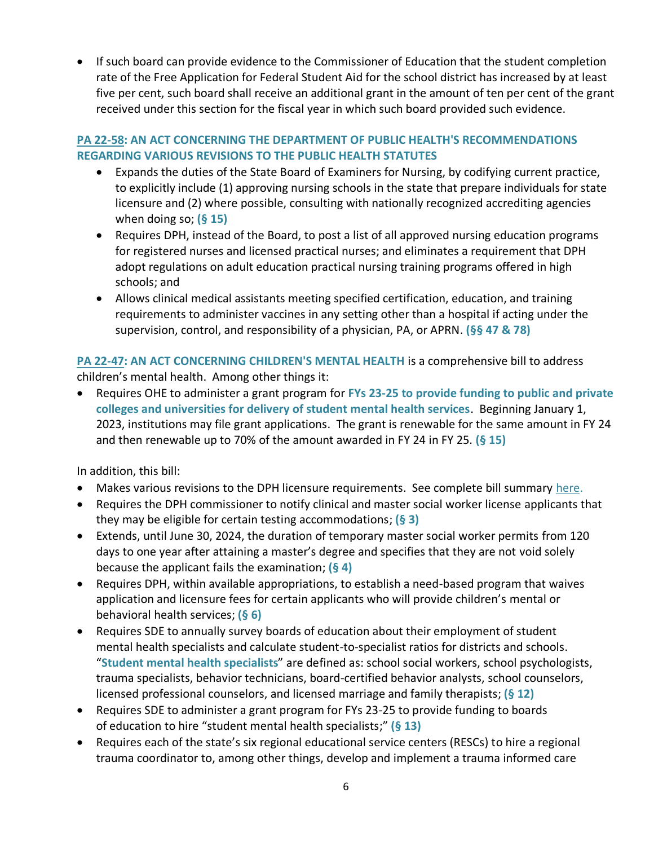• If such board can provide evidence to the Commissioner of Education that the student completion rate of the Free Application for Federal Student Aid for the school district has increased by at least five per cent, such board shall receive an additional grant in the amount of ten per cent of the grant received under this section for the fiscal year in which such board provided such evidence.

### **[PA 22-58:](https://www.cga.ct.gov/2022/ACT/PA/PDF/2022PA-00058-R00HB-05500-PA.PDF) AN ACT CONCERNING THE DEPARTMENT OF PUBLIC HEALTH'S RECOMMENDATIONS REGARDING VARIOUS REVISIONS TO THE PUBLIC HEALTH STATUTES**

- Expands the duties of the State Board of Examiners for Nursing, by codifying current practice, to explicitly include (1) approving nursing schools in the state that prepare individuals for state licensure and (2) where possible, consulting with nationally recognized accrediting agencies when doing so; **(§ 15)**
- Requires DPH, instead of the Board, to post a list of all approved nursing education programs for registered nurses and licensed practical nurses; and eliminates a requirement that DPH adopt regulations on adult education practical nursing training programs offered in high schools; and
- Allows clinical medical assistants meeting specified certification, education, and training requirements to administer vaccines in any setting other than a hospital if acting under the supervision, control, and responsibility of a physician, PA, or APRN. **(§§ 47 & 78)**

**[PA 22-47:](https://www.cga.ct.gov/2022/ACT/PA/PDF/2022PA-00047-R00HB-05001-PA.PDF) AN ACT CONCERNING CHILDREN'S MENTAL HEALTH** is a comprehensive bill to address children's mental health. Among other things it:

• Requires OHE to administer a grant program for **FYs 23-25 to provide funding to public and private colleges and universities for delivery of student mental health services**. Beginning January 1, 2023, institutions may file grant applications. The grant is renewable for the same amount in FY 24 and then renewable up to 70% of the amount awarded in FY 24 in FY 25. **(§ 15)**

In addition, this bill:

- Makes various revisions to the DPH licensure requirements. See complete bill summary [here.](https://www.cga.ct.gov/2022/BA/PDF/2022HB-05001-R010676-BA.PDF)
- Requires the DPH commissioner to notify clinical and master social worker license applicants that they may be eligible for certain testing accommodations; **(§ 3)**
- Extends, until June 30, 2024, the duration of temporary master social worker permits from 120 days to one year after attaining a master's degree and specifies that they are not void solely because the applicant fails the examination; **(§ 4)**
- Requires DPH, within available appropriations, to establish a need-based program that waives application and licensure fees for certain applicants who will provide children's mental or behavioral health services; **(§ 6)**
- Requires SDE to annually survey boards of education about their employment of student mental health specialists and calculate student-to-specialist ratios for districts and schools. "**Student mental health specialists**" are defined as: school social workers, school psychologists, trauma specialists, behavior technicians, board-certified behavior analysts, school counselors, licensed professional counselors, and licensed marriage and family therapists; **(§ 12)**
- Requires SDE to administer a grant program for FYs 23-25 to provide funding to boards of education to hire "student mental health specialists;" **(§ 13)**
- Requires each of the state's six regional educational service centers (RESCs) to hire a regional trauma coordinator to, among other things, develop and implement a trauma informed care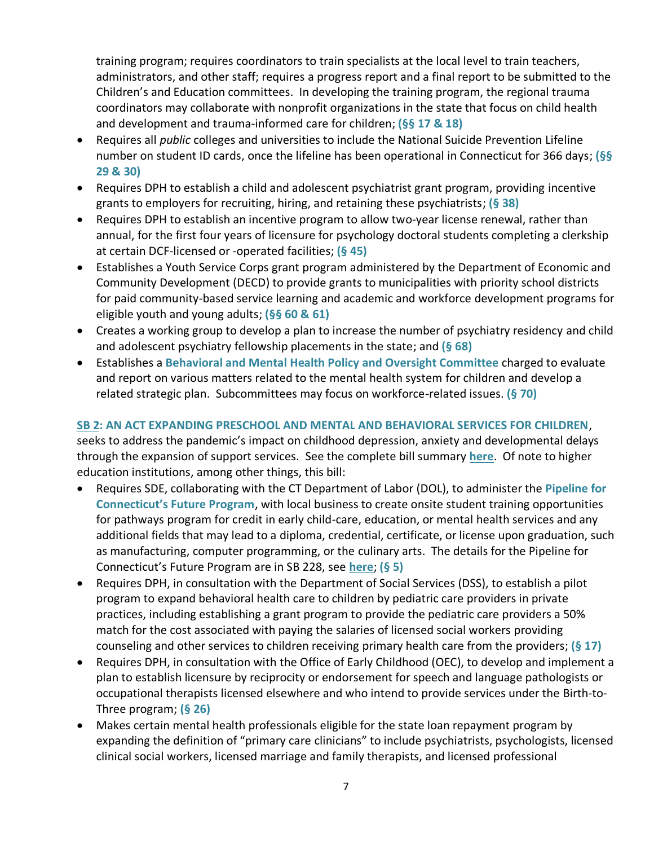training program; requires coordinators to train specialists at the local level to train teachers, administrators, and other staff; requires a progress report and a final report to be submitted to the Children's and Education committees. In developing the training program, the regional trauma coordinators may collaborate with nonprofit organizations in the state that focus on child health and development and trauma-informed care for children; **(§§ 17 & 18)**

- Requires all *public* colleges and universities to include the National Suicide Prevention Lifeline number on student ID cards, once the lifeline has been operational in Connecticut for 366 days; **(§§ 29 & 30)**
- Requires DPH to establish a child and adolescent psychiatrist grant program, providing incentive grants to employers for recruiting, hiring, and retaining these psychiatrists; **(§ 38)**
- Requires DPH to establish an incentive program to allow two-year license renewal, rather than annual, for the first four years of licensure for psychology doctoral students completing a clerkship at certain DCF-licensed or -operated facilities; **(§ 45)**
- Establishes a Youth Service Corps grant program administered by the Department of Economic and Community Development (DECD) to provide grants to municipalities with priority school districts for paid community-based service learning and academic and workforce development programs for eligible youth and young adults; **(§§ 60 & 61)**
- Creates a working group to develop a plan to increase the number of psychiatry residency and child and adolescent psychiatry fellowship placements in the state; and **(§ 68)**
- Establishes a **Behavioral and Mental Health Policy and Oversight Committee** charged to evaluate and report on various matters related to the mental health system for children and develop a related strategic plan. Subcommittees may focus on workforce-related issues. **(§ 70)**

### **[SB 2: AN ACT EXPANDING PRESCHOOL AND MENTAL AND BEHAVIORAL SERVICES FOR CHILDREN](https://www.cga.ct.gov/asp/cgabillstatus/cgabillstatus.asp?selBillType=Bill&which_year=2022&bill_num=2)**,

seeks to address the pandemic's impact on childhood depression, anxiety and developmental delays through the expansion of support services. See the complete bill summary **[here](https://www.cga.ct.gov/2022/BA/PDF/2022SB-00002-R01-BA.PDF)**. Of note to higher education institutions, among other things, this bill:

- Requires SDE, collaborating with the CT Department of Labor (DOL), to administer the **Pipeline for Connecticut's Future Program**, with local business to create onsite student training opportunities for pathways program for credit in early child-care, education, or mental health services and any additional fields that may lead to a diploma, credential, certificate, or license upon graduation, such as manufacturing, computer programming, or the culinary arts. The details for the Pipeline for Connecticut's Future Program are in SB 228, see **[here](https://www.cga.ct.gov/2022/BA/PDF/2022SB-00228-R000561-BA.PDF)**; **(§ 5)**
- Requires DPH, in consultation with the Department of Social Services (DSS), to establish a pilot program to expand behavioral health care to children by pediatric care providers in private practices, including establishing a grant program to provide the pediatric care providers a 50% match for the cost associated with paying the salaries of licensed social workers providing counseling and other services to children receiving primary health care from the providers; **(§ 17)**
- Requires DPH, in consultation with the Office of Early Childhood (OEC), to develop and implement a plan to establish licensure by reciprocity or endorsement for speech and language pathologists or occupational therapists licensed elsewhere and who intend to provide services under the Birth-to-Three program; **(§ 26)**
- Makes certain mental health professionals eligible for the state loan repayment program by expanding the definition of "primary care clinicians" to include psychiatrists, psychologists, licensed clinical social workers, licensed marriage and family therapists, and licensed professional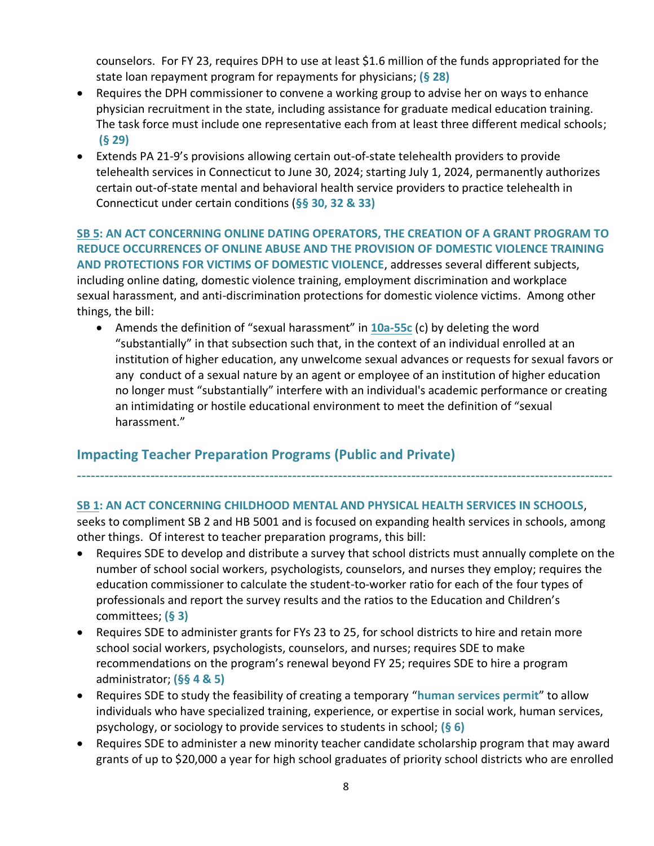counselors. For FY 23, requires DPH to use at least \$1.6 million of the funds appropriated for the state loan repayment program for repayments for physicians; **(§ 28)**

- Requires the DPH commissioner to convene a working group to advise her on ways to enhance physician recruitment in the state, including assistance for graduate medical education training. The task force must include one representative each from at least three different medical schools; **(§ 29)**
- Extends PA 21-9's provisions allowing certain out-of-state telehealth providers to provide telehealth services in Connecticut to June 30, 2024; starting July 1, 2024, permanently authorizes certain out-of-state mental and behavioral health service providers to practice telehealth in Connecticut under certain conditions (**§§ 30, 32 & 33)**

**[SB 5:](https://www.cga.ct.gov/asp/cgabillstatus/cgabillstatus.asp?selBillType=Bill&which_year=2022&bill_num=5) AN ACT CONCERNING ONLINE DATING OPERATORS, THE CREATION OF A GRANT PROGRAM TO REDUCE OCCURRENCES OF ONLINE ABUSE AND THE PROVISION OF DOMESTIC VIOLENCE TRAINING AND PROTECTIONS FOR VICTIMS OF DOMESTIC VIOLENCE**, addresses several different subjects, including online dating, domestic violence training, employment discrimination and workplace sexual harassment, and anti-discrimination protections for domestic violence victims. Among other things, the bill:

• Amends the definition of "sexual harassment" in **[10a-55c](https://www.cga.ct.gov/current/pub/chap_185.htm#sec_10a-55c)** (c) by deleting the word "substantially" in that subsection such that, in the context of an individual enrolled at an institution of higher education, any unwelcome sexual advances or requests for sexual favors or any conduct of a sexual nature by an agent or employee of an institution of higher education no longer must "substantially" interfere with an individual's academic performance or creating an intimidating or hostile educational environment to meet the definition of "sexual harassment."

# **Impacting Teacher Preparation Programs (Public and Private)**

#### **[SB 1: AN ACT CONCERNING CHILDHOOD MENTAL AND PHYSICAL HEALTH SERVICES IN SCHOOLS](https://www.cga.ct.gov/asp/cgabillstatus/cgabillstatus.asp?selBillType=Bill&which_year=2022&bill_num=190)**,

seeks to compliment SB 2 and HB 5001 and is focused on expanding health services in schools, among other things. Of interest to teacher preparation programs, this bill:

---------------------------------------------------------------------------------------------------------------------

- Requires SDE to develop and distribute a survey that school districts must annually complete on the number of school social workers, psychologists, counselors, and nurses they employ; requires the education commissioner to calculate the student-to-worker ratio for each of the four types of professionals and report the survey results and the ratios to the Education and Children's committees; **(§ 3)**
- Requires SDE to administer grants for FYs 23 to 25, for school districts to hire and retain more school social workers, psychologists, counselors, and nurses; requires SDE to make recommendations on the program's renewal beyond FY 25; requires SDE to hire a program administrator; **(§§ 4 & 5)**
- Requires SDE to study the feasibility of creating a temporary "**human services permit**" to allow individuals who have specialized training, experience, or expertise in social work, human services, psychology, or sociology to provide services to students in school; **(§ 6)**
- Requires SDE to administer a new minority teacher candidate scholarship program that may award grants of up to \$20,000 a year for high school graduates of priority school districts who are enrolled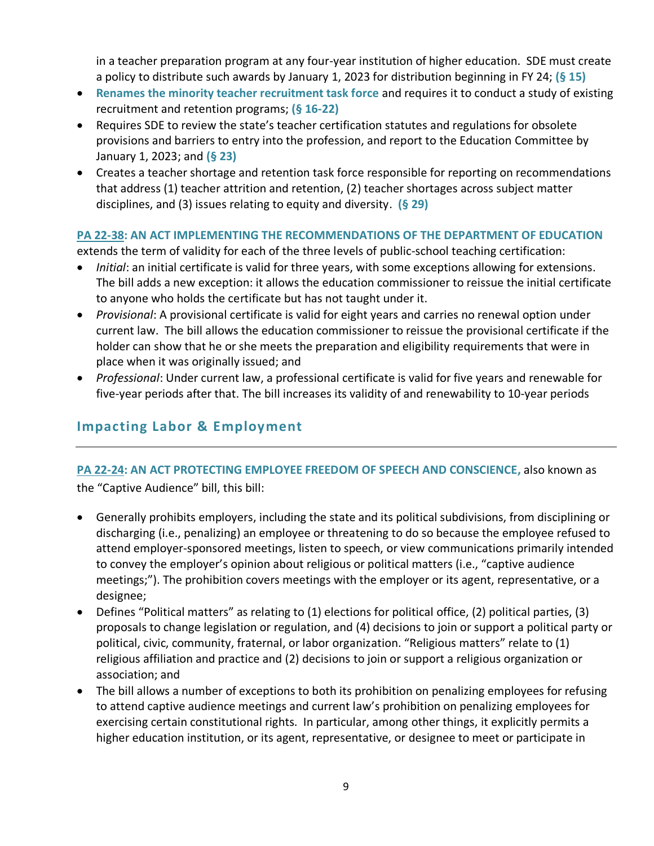in a teacher preparation program at any four-year institution of higher education. SDE must create a policy to distribute such awards by January 1, 2023 for distribution beginning in FY 24; **(§ 15)**

- **Renames the minority teacher recruitment task force** and requires it to conduct a study of existing recruitment and retention programs; **(§ 16-22)**
- Requires SDE to review the state's teacher certification statutes and regulations for obsolete provisions and barriers to entry into the profession, and report to the Education Committee by January 1, 2023; and **(§ 23)**
- Creates a teacher shortage and retention task force responsible for reporting on recommendations that address (1) teacher attrition and retention, (2) teacher shortages across subject matter disciplines, and (3) issues relating to equity and diversity. **(§ 29)**

### **[PA 22-38: AN ACT IMPLEMENTING THE RECOMMENDATIONS OF THE DEPARTMENT OF EDUCATION](https://www.cga.ct.gov/2022/ACT/PA/PDF/2022PA-00038-R00SB-00226-PA.PDF)**

extends the term of validity for each of the three levels of public-school teaching certification:

- *Initial*: an initial certificate is valid for three years, with some exceptions allowing for extensions. The bill adds a new exception: it allows the education commissioner to reissue the initial certificate to anyone who holds the certificate but has not taught under it.
- *Provisional*: A provisional certificate is valid for eight years and carries no renewal option under current law. The bill allows the education commissioner to reissue the provisional certificate if the holder can show that he or she meets the preparation and eligibility requirements that were in place when it was originally issued; and
- *Professional*: Under current law, a professional certificate is valid for five years and renewable for five-year periods after that. The bill increases its validity of and renewability to 10-year periods

# **Impacting Labor & Employment**

# **[PA 22-24: AN ACT PROTECTING EMPLOYEE FREEDOM OF SPEECH AND CONSCIENCE,](https://www.cga.ct.gov/asp/cgabillstatus/cgabillstatus.asp?selBillType=Bill&which_year=2022&bill_num=163)** also known as

the "Captive Audience" bill, this bill:

- Generally prohibits employers, including the state and its political subdivisions, from disciplining or discharging (i.e., penalizing) an employee or threatening to do so because the employee refused to attend employer-sponsored meetings, listen to speech, or view communications primarily intended to convey the employer's opinion about religious or political matters (i.e., "captive audience meetings;"). The prohibition covers meetings with the employer or its agent, representative, or a designee;
- Defines "Political matters" as relating to (1) elections for political office, (2) political parties, (3) proposals to change legislation or regulation, and (4) decisions to join or support a political party or political, civic, community, fraternal, or labor organization. "Religious matters" relate to (1) religious affiliation and practice and (2) decisions to join or support a religious organization or association; and
- The bill allows a number of exceptions to both its prohibition on penalizing employees for refusing to attend captive audience meetings and current law's prohibition on penalizing employees for exercising certain constitutional rights. In particular, among other things, it explicitly permits a higher education institution, or its agent, representative, or designee to meet or participate in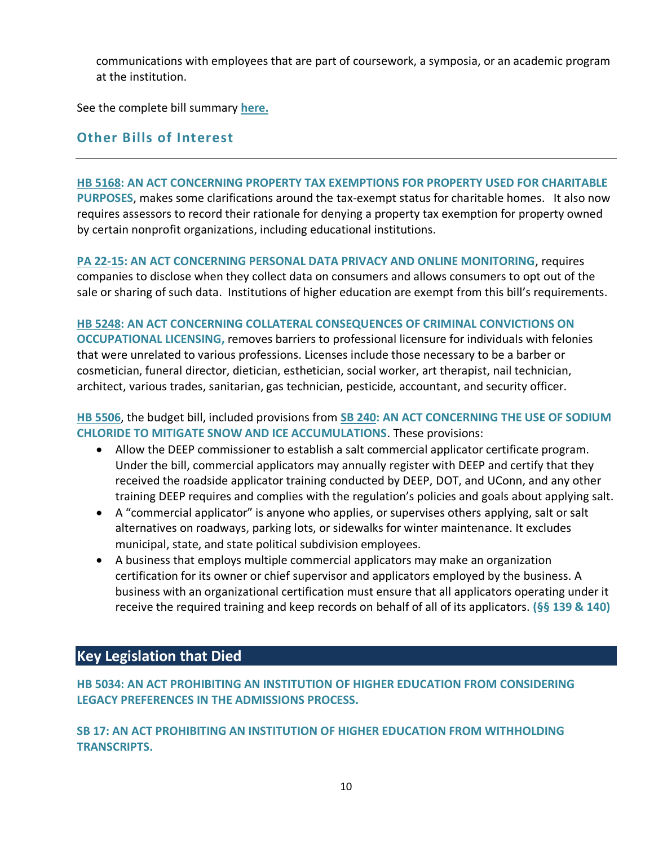communications with employees that are part of coursework, a symposia, or an academic program at the institution.

See the complete bill summary **[here.](https://www.cga.ct.gov/2022/BA/PDF/2022SB-00163-R01-BA.PDF)**

## **Other Bills of Interest**

### **[HB 5168: AN ACT CONCERNING PROPERTY TAX EXEMPTIONS FOR PROPERTY USED FOR CHARITABLE](https://www.cga.ct.gov/asp/cgabillstatus/cgabillstatus.asp?selBillType=Bill&bill_num=HB05168&which_year=2022)  [PURPOSES](https://www.cga.ct.gov/asp/cgabillstatus/cgabillstatus.asp?selBillType=Bill&bill_num=HB05168&which_year=2022)**, makes some clarifications around the tax-exempt status for charitable homes. It also now requires assessors to record their rationale for denying a property tax exemption for property owned by certain nonprofit organizations, including educational institutions.

### **[PA 22-15: AN ACT CONCERNING PERSONAL DATA PRIVACY AND ONLINE MONITORING](https://www.cga.ct.gov/2022/ACT/PA/PDF/2022PA-00015-R00SB-00006-PA.PDF)**, requires companies to disclose when they collect data on consumers and allows consumers to opt out of the sale or sharing of such data. Institutions of higher education are exempt from this bill's requirements.

#### **[HB 5248:](https://www.cga.ct.gov/asp/cgabillstatus/cgabillstatus.asp?selBillType=Bill&which_year=2022&bill_num=5248) AN ACT CONCERNING COLLATERAL CONSEQUENCES OF CRIMINAL CONVICTIONS ON**

**OCCUPATIONAL LICENSING,** removes barriers to professional licensure for individuals with felonies that were unrelated to various professions. Licenses include those necessary to be a barber or cosmetician, funeral director, dietician, esthetician, social worker, art therapist, nail technician, architect, various trades, sanitarian, gas technician, pesticide, accountant, and security officer.

### **[HB 5506](https://www.cga.ct.gov/asp/cgabillstatus/cgabillstatus.asp?selBillType=Bill&which_year=2022&bill_num=5506)**, the budget bill, included provisions from **[SB 240:](https://www.cga.ct.gov/asp/cgabillstatus/cgabillstatus.asp?selBillType=Bill&which_year=2022&bill_num=240) AN ACT CONCERNING THE USE OF SODIUM CHLORIDE TO MITIGATE SNOW AND ICE ACCUMULATIONS**. These provisions:

- Allow the DEEP commissioner to establish a salt commercial applicator certificate program. Under the bill, commercial applicators may annually register with DEEP and certify that they received the roadside applicator training conducted by DEEP, DOT, and UConn, and any other training DEEP requires and complies with the regulation's policies and goals about applying salt.
- A "commercial applicator" is anyone who applies, or supervises others applying, salt or salt alternatives on roadways, parking lots, or sidewalks for winter maintenance. It excludes municipal, state, and state political subdivision employees.
- A business that employs multiple commercial applicators may make an organization certification for its owner or chief supervisor and applicators employed by the business. A business with an organizational certification must ensure that all applicators operating under it receive the required training and keep records on behalf of all of its applicators. **(§§ 139 & 140)**

# **Key Legislation that Died**

**[HB 5034:](https://www.cga.ct.gov/asp/cgabillstatus/cgabillstatus.asp?selBillType=Bill&bill_num=HB5034&which_year=2022) AN ACT PROHIBITING AN INSTITUTION OF HIGHER EDUCATION FROM CONSIDERING LEGACY PREFERENCES IN THE ADMISSIONS PROCESS.** 

**[SB 17:](https://www.cga.ct.gov/asp/cgabillstatus/cgabillstatus.asp?selBillType=Bill&bill_num=SB17&which_year=2022) AN ACT PROHIBITING AN INSTITUTION OF HIGHER EDUCATION FROM WITHHOLDING TRANSCRIPTS.**